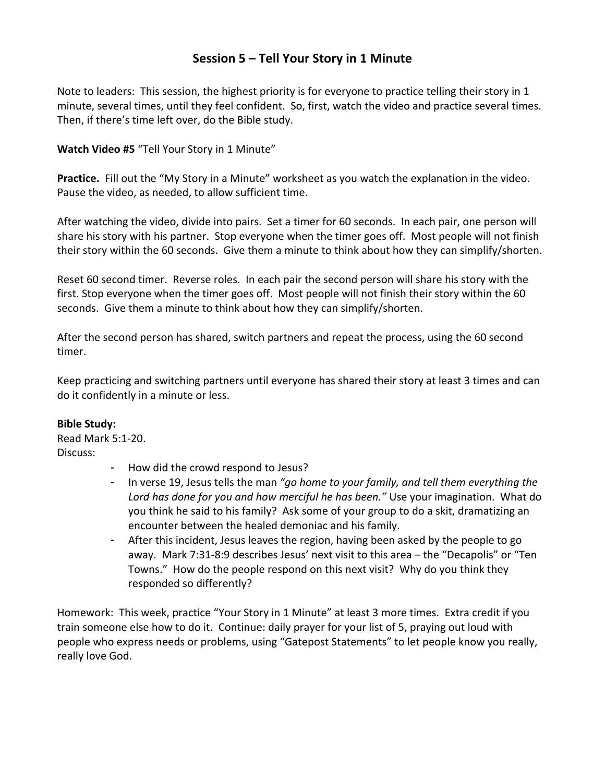## **Session 5 – Tell Your Story in 1 Minute**

Note to leaders: This session, the highest priority is for everyone to practice telling their story in 1 minute, several times, until they feel confident. So, first, watch the video and practice several times. Then, if there's time left over, do the Bible study.

**Watch Video #5** "Tell Your Story in 1 Minute"

**Practice.** Fill out the "My Story in a Minute" worksheet as you watch the explanation in the video. Pause the video, as needed, to allow sufficient time.

After watching the video, divide into pairs. Set a timer for 60 seconds. In each pair, one person will share his story with his partner. Stop everyone when the timer goes off. Most people will not finish their story within the 60 seconds. Give them a minute to think about how they can simplify/shorten.

Reset 60 second timer. Reverse roles. In each pair the second person will share his story with the first. Stop everyone when the timer goes off. Most people will not finish their story within the 60 seconds. Give them a minute to think about how they can simplify/shorten.

After the second person has shared, switch partners and repeat the process, using the 60 second timer.

Keep practicing and switching partners until everyone has shared their story at least 3 times and can do it confidently in a minute or less.

## **Bible Study:**

Read Mark 5:1-20. Discuss:

- How did the crowd respond to Jesus?
- In verse 19, Jesus tells the man *"go home to your family, and tell them everything the Lord has done for you and how merciful he has been."* Use your imagination. What do you think he said to his family? Ask some of your group to do a skit, dramatizing an encounter between the healed demoniac and his family.
- After this incident, Jesus leaves the region, having been asked by the people to go away. Mark 7:31-8:9 describes Jesus' next visit to this area – the "Decapolis" or "Ten Towns." How do the people respond on this next visit? Why do you think they responded so differently?

Homework: This week, practice "Your Story in 1 Minute" at least 3 more times. Extra credit if you train someone else how to do it. Continue: daily prayer for your list of 5, praying out loud with people who express needs or problems, using "Gatepost Statements" to let people know you really, really love God.